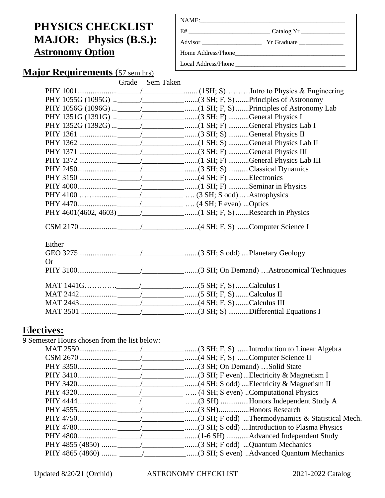# **PHYSICS CHECKLIST MAJOR: Physics (B.S.): Astronomy Option**

| E#                  | Catalog Yr |
|---------------------|------------|
|                     |            |
|                     |            |
| Local Address/Phone |            |

# **Major Requirements** (57 sem hrs)

#### Grade Sem Taken

|        | PHY 1352G (1392G)  ___________________________(1 SH; F) General Physics Lab I |
|--------|-------------------------------------------------------------------------------|
|        |                                                                               |
|        |                                                                               |
|        |                                                                               |
|        |                                                                               |
|        |                                                                               |
|        |                                                                               |
|        |                                                                               |
|        |                                                                               |
|        |                                                                               |
|        |                                                                               |
|        |                                                                               |
| Either |                                                                               |
|        |                                                                               |
| Or     |                                                                               |
|        |                                                                               |
|        |                                                                               |
|        |                                                                               |
|        |                                                                               |
|        |                                                                               |

# **Electives:**

| 9 Semester Hours chosen from the list below: |                                                  |
|----------------------------------------------|--------------------------------------------------|
|                                              |                                                  |
|                                              |                                                  |
|                                              |                                                  |
|                                              | _________(3 SH; F even)Electricity & Magnetism I |
|                                              |                                                  |
|                                              | (4 SH; S even) Computational Physics             |
|                                              | (3 SH) Honors Independent Study A                |
|                                              | <u>___</u> (3 SH)Honors Research                 |
|                                              |                                                  |
|                                              |                                                  |
|                                              | _____ (1-6 SH) Advanced Independent Study        |
|                                              |                                                  |
|                                              |                                                  |